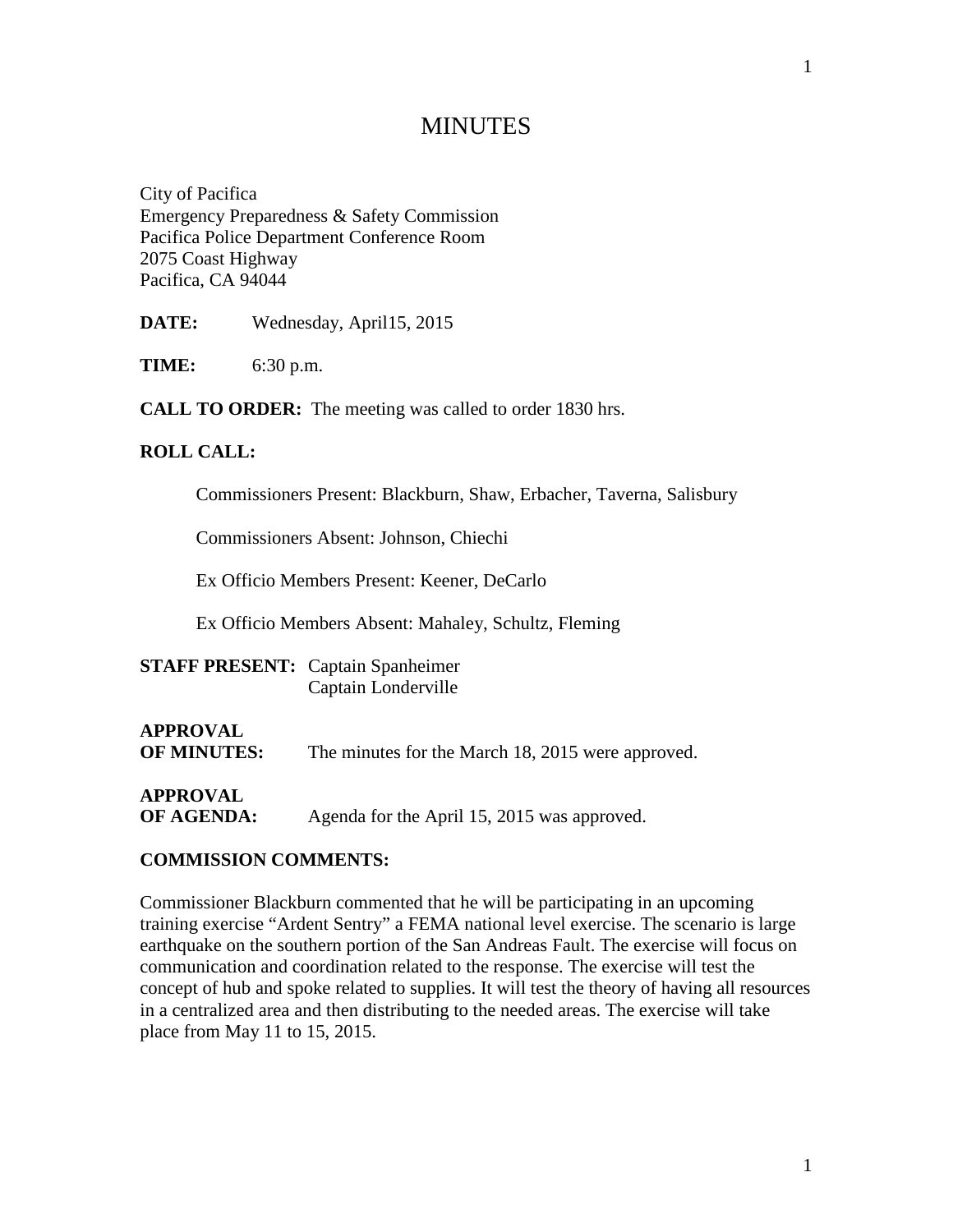# **MINUTES**

City of Pacifica Emergency Preparedness & Safety Commission Pacifica Police Department Conference Room 2075 Coast Highway Pacifica, CA 94044

**DATE:** Wednesday, April15, 2015

**TIME:** 6:30 p.m.

**CALL TO ORDER:** The meeting was called to order 1830 hrs.

#### **ROLL CALL:**

Commissioners Present: Blackburn, Shaw, Erbacher, Taverna, Salisbury

Commissioners Absent: Johnson, Chiechi

Ex Officio Members Present: Keener, DeCarlo

Ex Officio Members Absent: Mahaley, Schultz, Fleming

| <b>STAFF PRESENT:</b> Captain Spanheimer |                     |
|------------------------------------------|---------------------|
|                                          | Captain Londerville |

# **APPROVAL**

**OF MINUTES:** The minutes for the March 18, 2015 were approved.

**APPROVAL**

**OF AGENDA:** Agenda for the April 15, 2015 was approved.

#### **COMMISSION COMMENTS:**

Commissioner Blackburn commented that he will be participating in an upcoming training exercise "Ardent Sentry" a FEMA national level exercise. The scenario is large earthquake on the southern portion of the San Andreas Fault. The exercise will focus on communication and coordination related to the response. The exercise will test the concept of hub and spoke related to supplies. It will test the theory of having all resources in a centralized area and then distributing to the needed areas. The exercise will take place from May 11 to 15, 2015.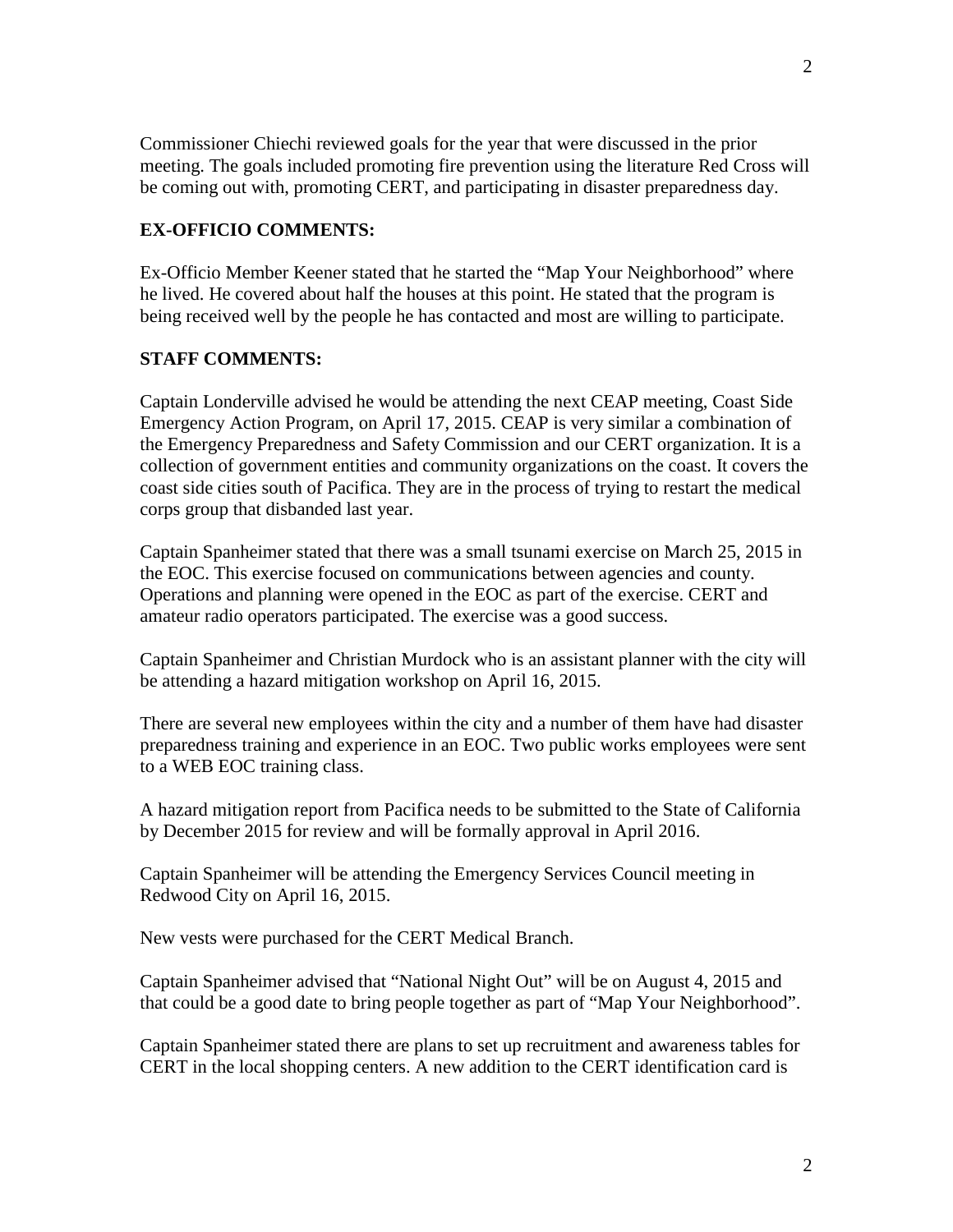Commissioner Chiechi reviewed goals for the year that were discussed in the prior meeting. The goals included promoting fire prevention using the literature Red Cross will be coming out with, promoting CERT, and participating in disaster preparedness day.

#### **EX-OFFICIO COMMENTS:**

Ex-Officio Member Keener stated that he started the "Map Your Neighborhood" where he lived. He covered about half the houses at this point. He stated that the program is being received well by the people he has contacted and most are willing to participate.

### **STAFF COMMENTS:**

Captain Londerville advised he would be attending the next CEAP meeting, Coast Side Emergency Action Program, on April 17, 2015. CEAP is very similar a combination of the Emergency Preparedness and Safety Commission and our CERT organization. It is a collection of government entities and community organizations on the coast. It covers the coast side cities south of Pacifica. They are in the process of trying to restart the medical corps group that disbanded last year.

Captain Spanheimer stated that there was a small tsunami exercise on March 25, 2015 in the EOC. This exercise focused on communications between agencies and county. Operations and planning were opened in the EOC as part of the exercise. CERT and amateur radio operators participated. The exercise was a good success.

Captain Spanheimer and Christian Murdock who is an assistant planner with the city will be attending a hazard mitigation workshop on April 16, 2015.

There are several new employees within the city and a number of them have had disaster preparedness training and experience in an EOC. Two public works employees were sent to a WEB EOC training class.

A hazard mitigation report from Pacifica needs to be submitted to the State of California by December 2015 for review and will be formally approval in April 2016.

Captain Spanheimer will be attending the Emergency Services Council meeting in Redwood City on April 16, 2015.

New vests were purchased for the CERT Medical Branch.

Captain Spanheimer advised that "National Night Out" will be on August 4, 2015 and that could be a good date to bring people together as part of "Map Your Neighborhood".

Captain Spanheimer stated there are plans to set up recruitment and awareness tables for CERT in the local shopping centers. A new addition to the CERT identification card is